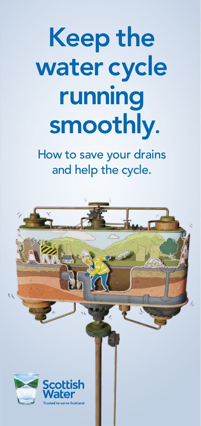# Keep the water cycle running smoothly.

How to save your drains and help the cycle.

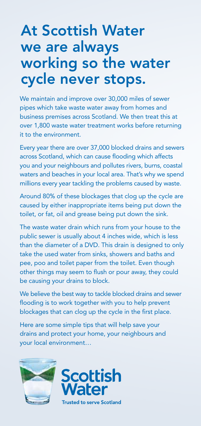## At Scottish Water we are always working so the water cycle never stops.

We maintain and improve over 30,000 miles of sewer pipes which take waste water away from homes and business premises across Scotland. We then treat this at over 1,800 waste water treatment works before returning it to the environment.

Every year there are over 37,000 blocked drains and sewers across Scotland, which can cause flooding which affects you and your neighbours and pollutes rivers, burns, coastal waters and beaches in your local area. That's why we spend millions every year tackling the problems caused by waste.

Around 80% of these blockages that clog up the cycle are caused by either inappropriate items being put down the toilet, or fat, oil and grease being put down the sink.

The waste water drain which runs from your house to the public sewer is usually about 4 inches wide, which is less than the diameter of a DVD. This drain is designed to only take the used water from sinks, showers and baths and pee, poo and toilet paper from the toilet. Even though other things may seem to flush or pour away, they could be causing your drains to block.

We believe the best way to tackle blocked drains and sewer flooding is to work together with you to help prevent blockages that can clog up the cycle in the first place.

Here are some simple tips that will help save your drains and protect your home, your neighbours and your local environment…



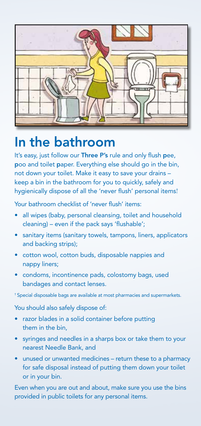

## In the bathroom

It's easy, just follow our Three P's rule and only flush pee, poo and toilet paper. Everything else should go in the bin, not down your toilet. Make it easy to save your drains – keep a bin in the bathroom for you to quickly, safely and hygienically dispose of all the 'never flush' personal items† .

Your bathroom checklist of 'never flush' items:

- all wipes (baby, personal cleansing, toilet and household cleaning) – even if the pack says 'flushable';
- sanitary items (sanitary towels, tampons, liners, applicators and backing strips);
- cotton wool, cotton buds, disposable nappies and nappy liners;
- condoms, incontinence pads, colostomy bags, used bandages and contact lenses.

† Special disposable bags are available at most pharmacies and supermarkets.

You should also safely dispose of:

- razor blades in a solid container before putting them in the bin,
- syringes and needles in a sharps box or take them to your nearest Needle Bank, and
- unused or unwanted medicines return these to a pharmacy for safe disposal instead of putting them down your toilet or in your bin.

Even when you are out and about, make sure you use the bins provided in public toilets for any personal items.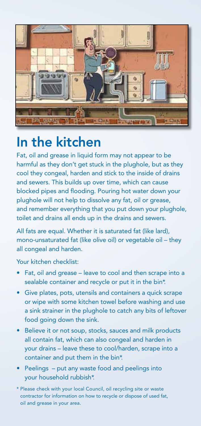

## In the kitchen

Fat, oil and grease in liquid form may not appear to be harmful as they don't get stuck in the plughole, but as they cool they congeal, harden and stick to the inside of drains and sewers. This builds up over time, which can cause blocked pipes and flooding. Pouring hot water down your plughole will not help to dissolve any fat, oil or grease, and remember everything that you put down your plughole, toilet and drains all ends up in the drains and sewers.

All fats are equal. Whether it is saturated fat (like lard), mono-unsaturated fat (like olive oil) or vegetable oil – they all congeal and harden.

Your kitchen checklist:

- Fat, oil and grease leave to cool and then scrape into a sealable container and recycle or put it in the bin\*.
- Give plates, pots, utensils and containers a quick scrape or wipe with some kitchen towel before washing and use a sink strainer in the plughole to catch any bits of leftover food going down the sink.
- Believe it or not soup, stocks, sauces and milk products all contain fat, which can also congeal and harden in your drains – leave these to cool/harden, scrape into a container and put them in the bin\*.
- Peelings put any waste food and peelings into your household rubbish\*.
- \* Please check with your local Council, oil recycling site or waste contractor for information on how to recycle or dispose of used fat, oil and grease in your area.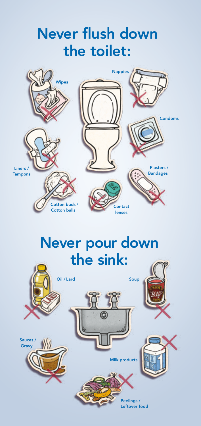## Never flush down the toilet:



# Never pour down the sink: